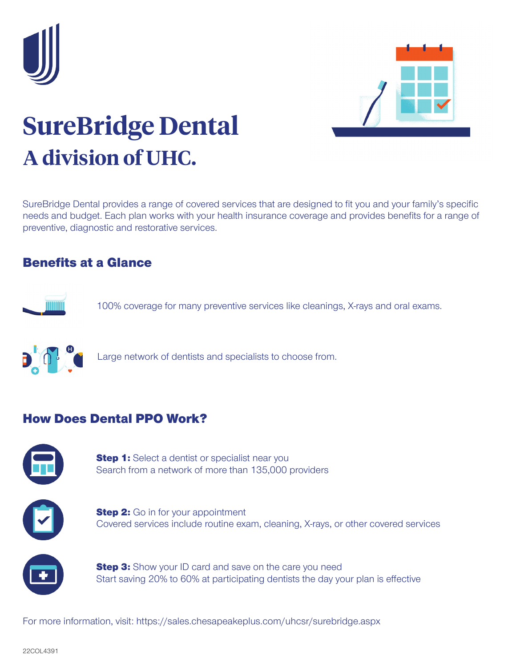



## **SureBridge Dental A division of UHC.**

SureBridge Dental provides a range of covered services that are designed to fit you and your family's specific needs and budget. Each plan works with your health insurance coverage and provides benefits for a range of preventive, diagnostic and restorative services.

## Benefits at a Glance



100% coverage for many preventive services like cleanings, X-rays and oral exams.



Large network of dentists and specialists to choose from.

## How Does Dental PPO Work?



**Step 1:** Select a dentist or specialist near you Search from a network of more than 135,000 providers



**Step 2:** Go in for your appointment Covered services include routine exam, cleaning, X-rays, or other covered services



**Step 3:** Show your ID card and save on the care you need Start saving 20% to 60% at participating dentists the day your plan is effective

For more information, visit: https://sales.chesapeakeplus.com/uhcsr/surebridge.aspx